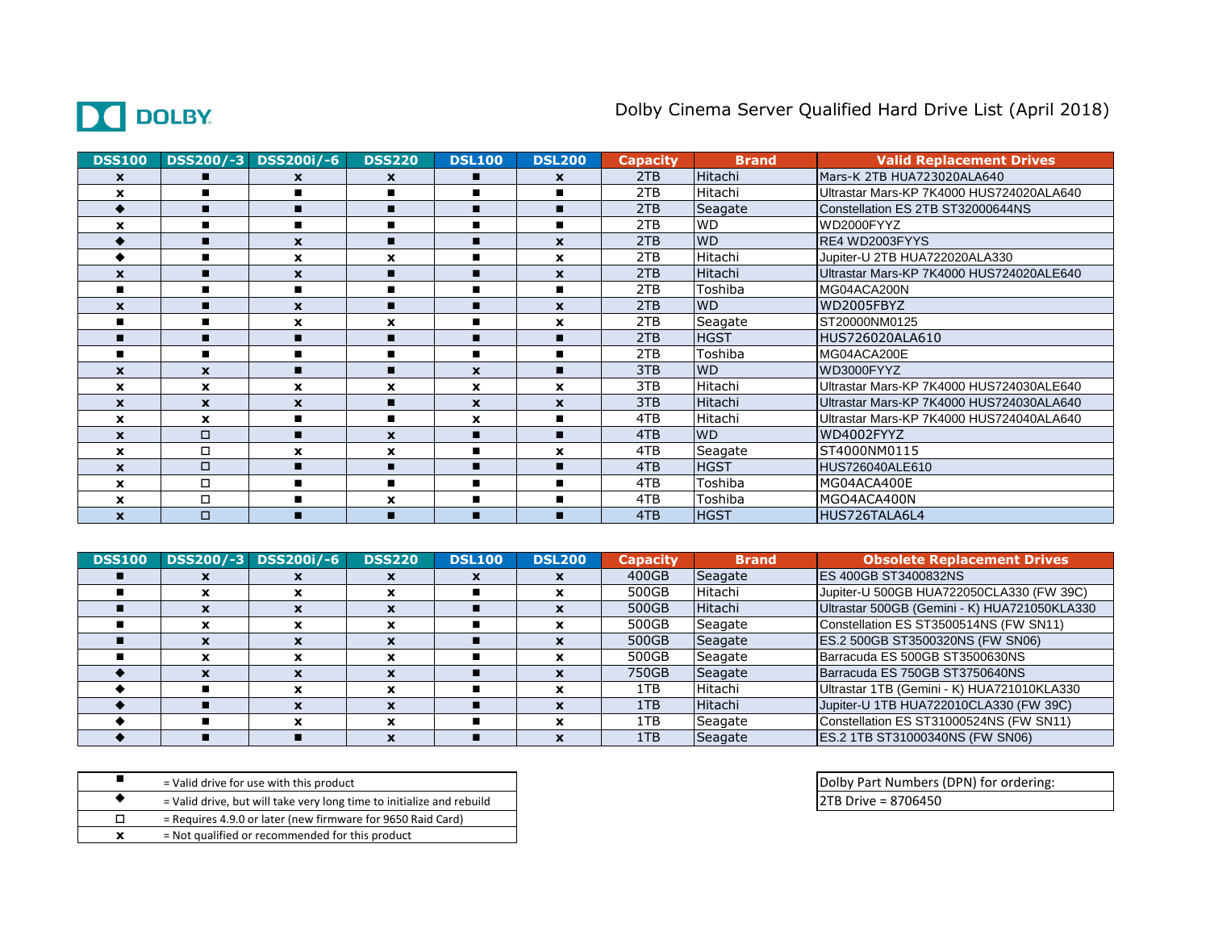## DC DOLBY.

## Dolby Cinema Server Qualified Hard Drive List (April 2018)

| <b>DSS100</b>             |                           | DSS200/-3 DSS200i/-6 | <b>DSS220</b>    | <b>DSL100</b>             | <b>DSL200</b>  | <b>Capacity</b> | <b>Brand</b> | <b>Valid Replacement Drives</b>          |
|---------------------------|---------------------------|----------------------|------------------|---------------------------|----------------|-----------------|--------------|------------------------------------------|
| $\mathbf x$               | п                         | $\mathbf{x}$         | $\mathbf{x}$     | п                         | $\mathbf{x}$   | 2TB             | Hitachi      | Mars-K 2TB HUA723020ALA640               |
| $\mathbf x$               | п                         |                      | $\blacksquare$   | $\blacksquare$            |                | 2TB             | Hitachi      | Ultrastar Mars-KP 7K4000 HUS724020ALA640 |
|                           | п                         |                      | п                | п                         | п              | 2TB             | Seagate      | Constellation ES 2TB ST32000644NS        |
| X                         |                           | ■                    | $\blacksquare$   | $\blacksquare$            | $\blacksquare$ | 2TB             | <b>WD</b>    | WD2000FYYZ                               |
|                           | п                         | $\mathbf{x}$         | п                |                           | $\mathbf{x}$   | 2TB             | <b>WD</b>    | RE4 WD2003FYYS                           |
|                           |                           | $\mathbf x$          | $\boldsymbol{x}$ |                           | $\mathbf{x}$   | 2TB             | Hitachi      | Jupiter-U 2TB HUA722020ALA330            |
| $\mathbf x$               |                           | $\mathbf x$          |                  |                           | $\mathbf{x}$   | 2TB             | Hitachi      | Ultrastar Mars-KP 7K4000 HUS724020ALE640 |
|                           | п                         | $\blacksquare$       | $\blacksquare$   |                           |                | 2TB             | Toshiba      | MG04ACA200N                              |
| $\mathbf x$               | п                         | $\mathbf{x}$         | п                |                           | $\mathbf{x}$   | 2TB             | <b>WD</b>    | WD2005FBYZ                               |
| п                         | п                         | $\mathbf x$          | $\mathbf x$      | п                         | $\mathbf x$    | 2TB             | Seagate      | ST20000NM0125                            |
|                           | г                         |                      | п                | п                         | п              | 2TB             | <b>HGST</b>  | HUS726020ALA610                          |
| п                         | п                         |                      | $\blacksquare$   | $\blacksquare$            |                | 2TB             | Toshiba      | MG04ACA200E                              |
| X                         | $\boldsymbol{\mathsf{x}}$ |                      | п                | $\boldsymbol{\mathsf{x}}$ | п              | 3TB             | <b>WD</b>    | WD3000FYYZ                               |
| $\mathbf x$               | $\mathbf x$               | $\mathbf{x}$         | $\mathbf x$      | $\mathbf x$               | $\mathbf x$    | 3TB             | Hitachi      | Ultrastar Mars-KP 7K4000 HUS724030ALE640 |
| $\mathbf x$               | $\mathbf{x}$              | $\boldsymbol{x}$     | п                | $\mathbf{x}$              | $\mathbf{x}$   | 3TB             | Hitachi      | Ultrastar Mars-KP 7K4000 HUS724030ALA640 |
| $\mathbf x$               | $\mathbf{x}$              | ■                    | $\blacksquare$   | $\mathbf{x}$              | $\blacksquare$ | 4TB             | Hitachi      | Ultrastar Mars-KP 7K4000 HUS724040ALA640 |
| X                         | $\Box$                    |                      | X                | п                         | п              | 4TB             | <b>WD</b>    | WD4002FYYZ                               |
| X                         | $\Box$                    | $\mathbf x$          | X                | $\blacksquare$            | $\mathbf x$    | 4TB             | Seagate      | ST4000NM0115                             |
| X                         | $\Box$                    |                      | п                | $\blacksquare$            | п              | 4TB             | <b>HGST</b>  | HUS726040ALE610                          |
| X                         | $\Box$                    |                      | $\blacksquare$   | п                         |                | 4TB             | Toshiba      | MG04ACA400E                              |
| $\mathbf x$               | $\Box$                    | ▬                    | X                | п                         | п              | 4TB             | Toshiba      | MGO4ACA400N                              |
| $\boldsymbol{\mathsf{x}}$ | $\Box$                    |                      | п                |                           |                | 4TB             | <b>HGST</b>  | HUS726TALA6L4                            |

| <b>DSS100</b> | DSS200/-3 | <b>DSS200i/-6</b> | <b>DSS220</b> | <b>DSL100</b> | <b>DSL200</b> | <b>Capacity</b> | <b>Brand</b> | <b>Obsolete Replacement Drives</b>           |
|---------------|-----------|-------------------|---------------|---------------|---------------|-----------------|--------------|----------------------------------------------|
|               |           |                   |               |               |               | 400GB           | Seagate      | <b>ES 400GB ST3400832NS</b>                  |
|               |           |                   |               |               |               | 500GB           | Hitachi      | Jupiter-U 500GB HUA722050CLA330 (FW 39C)     |
|               |           |                   |               |               |               | 500GB           | Hitachi      | Ultrastar 500GB (Gemini - K) HUA721050KLA330 |
|               |           |                   |               |               |               | 500GB           | Seagate      | Constellation ES ST3500514NS (FW SN11)       |
|               |           |                   |               |               |               | 500GB           | Seagate      | ES.2 500GB ST3500320NS (FW SN06)             |
|               |           |                   | x             |               | x             | 500GB           | Seagate      | Barracuda ES 500GB ST3500630NS               |
|               |           |                   |               |               |               | 750GB           | Seagate      | Barracuda ES 750GB ST3750640NS               |
|               |           |                   | x             |               | x             | 1TB             | Hitachi      | Ultrastar 1TB (Gemini - K) HUA721010KLA330   |
|               |           |                   |               |               | $\mathbf x$   | 1TB             | Hitachi      | Jupiter-U 1TB HUA722010CLA330 (FW 39C)       |
|               |           |                   | x             |               | x             | 1TB             | Seagate      | Constellation ES ST31000524NS (FW SN11)      |
|               |           |                   |               |               |               | 1TB             | Seagate      | ES.2 1TB ST31000340NS (FW SN06)              |

■ a valid drive for use with this product and a product and a valid drive for use with this product and a valid drive for use with this product and a valid drive for use with this product <sup>u</sup> 2TB Drive = 8706450 = Valid drive, but will take very long time to initialize and rebuild  $\square$  = Requires 4.9.0 or later (new firmware for 9650 Raid Card) **x** = Not qualified or recommended for this product = Valid drive for use with this product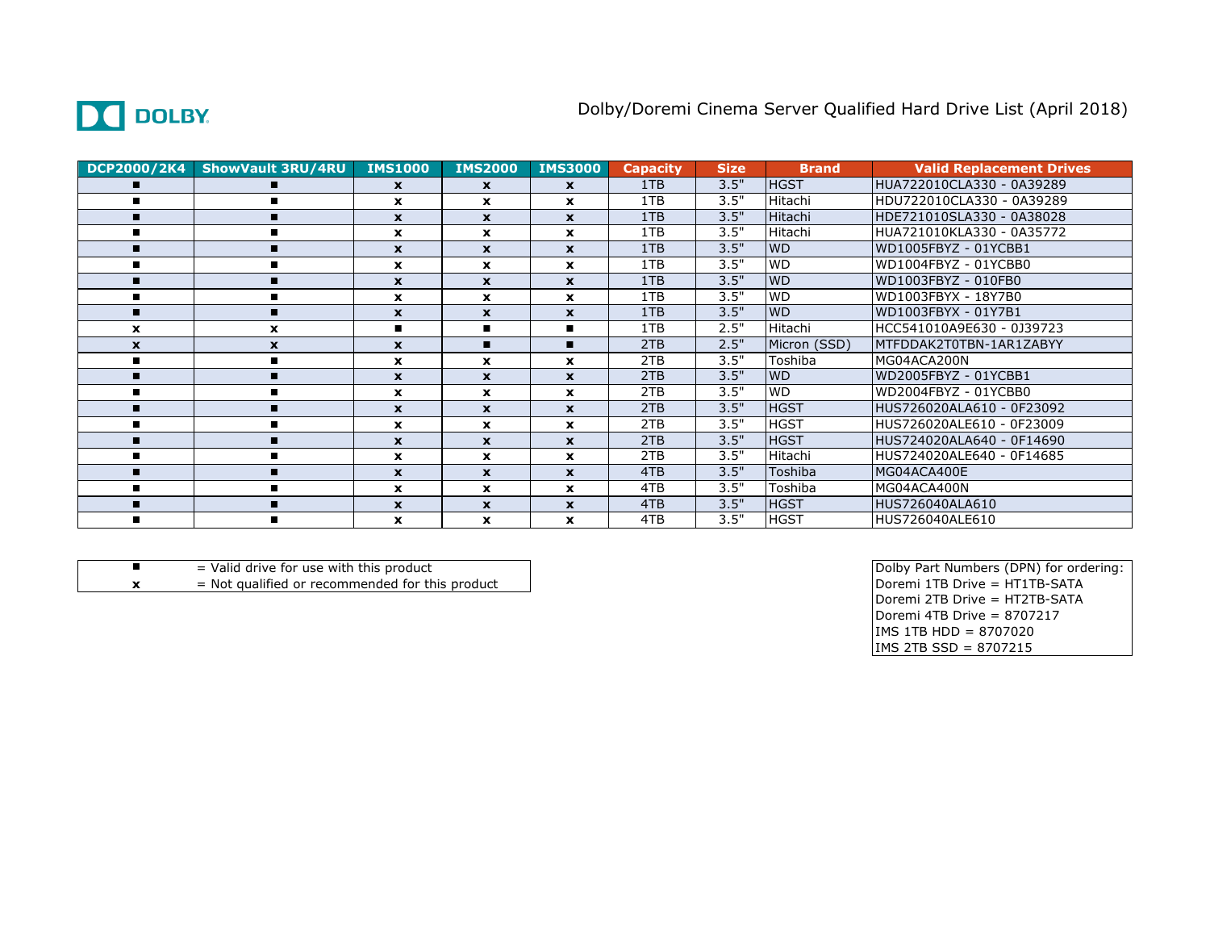

| DCP2000/2K4  | <b>ShowVault 3RU/4RU</b> | <b>IMS1000</b>   | <b>IMS2000</b>   | <b>IMS3000</b> | <b>Capacity</b> | <b>Size</b> | <b>Brand</b>   | <b>Valid Replacement Drives</b> |
|--------------|--------------------------|------------------|------------------|----------------|-----------------|-------------|----------------|---------------------------------|
|              |                          | $\mathbf{x}$     | $\mathbf{x}$     | $\mathbf{x}$   | 1TB             | 3.5"        | <b>HGST</b>    | HUA722010CLA330 - 0A39289       |
|              |                          | $\mathbf{x}$     | X                | $\mathbf{x}$   | 1TB             | 3.5"        | Hitachi        | HDU722010CLA330 - 0A39289       |
|              |                          | $\mathbf{x}$     | $\mathbf{x}$     | $\mathbf{x}$   | 1TB             | 3.5"        | <b>Hitachi</b> | HDE721010SLA330 - 0A38028       |
|              |                          | $\mathbf{x}$     | <b>x</b>         | $\mathbf{x}$   | 1TB             | 3.5"        | Hitachi        | HUA721010KLA330 - 0A35772       |
| п.           |                          | $\mathbf{x}$     | $\boldsymbol{x}$ | $\mathbf{x}$   | 1TB             | 3.5"        | <b>WD</b>      | WD1005FBYZ - 01YCBB1            |
|              |                          | $\mathbf{x}$     | <b>x</b>         | $\mathbf{x}$   | 1TB             | 3.5"        | <b>WD</b>      | WD1004FBYZ - 01YCBB0            |
|              |                          | $\mathbf{x}$     | $\mathbf{x}$     | $\mathbf{x}$   | 1TB             | 3.5"        | <b>WD</b>      | WD1003FBYZ - 010FB0             |
|              |                          | $\mathbf{x}$     | <b>x</b>         | $\mathbf{x}$   | 1TB             | 3.5"        | <b>WD</b>      | WD1003FBYX - 18Y7B0             |
|              | п                        | X                | $\mathbf{x}$     | $\mathbf{x}$   | 1TB             | 3.5"        | <b>WD</b>      | WD1003FBYX - 01Y7B1             |
| $\mathbf{x}$ | x                        | п                |                  |                | 1TB             | 2.5"        | Hitachi        | HCC541010A9E630 - 0J39723       |
| $\mathbf{x}$ | $\mathbf x$              | $\mathbf{x}$     |                  |                | 2TB             | 2.5"        | Micron (SSD)   | MTFDDAK2T0TBN-1AR1ZABYY         |
|              |                          | $\mathbf{x}$     | $\boldsymbol{x}$ | $\mathbf{x}$   | 2TB             | 3.5"        | Toshiba        | MG04ACA200N                     |
|              |                          | $\mathbf{x}$     | $\mathbf{x}$     | $\mathbf{x}$   | 2TB             | 3.5"        | <b>WD</b>      | WD2005FBYZ - 01YCBB1            |
|              |                          | x                | X                | $\mathbf{x}$   | 2TB             | 3.5"        | <b>WD</b>      | WD2004FBYZ - 01YCBB0            |
| п.           |                          | $\mathbf{x}$     | $\mathbf x$      | $\mathbf{x}$   | 2TB             | 3.5"        | <b>HGST</b>    | HUS726020ALA610 - 0F23092       |
|              |                          | $\mathbf{x}$     | x                | $\mathbf{x}$   | 2TB             | 3.5"        | <b>HGST</b>    | HUS726020ALE610 - 0F23009       |
|              |                          | $\boldsymbol{x}$ | $\mathbf{x}$     | $\mathbf{x}$   | 2TB             | 3.5"        | <b>HGST</b>    | HUS724020ALA640 - 0F14690       |
|              |                          | $\mathbf{x}$     | x                | $\mathbf{x}$   | 2TB             | 3.5"        | Hitachi        | HUS724020ALE640 - 0F14685       |
| п.           |                          | $\mathbf{x}$     | X                | $\mathbf{x}$   | 4TB             | 3.5"        | Toshiba        | MG04ACA400E                     |
|              |                          | $\mathbf{x}$     | X                | $\mathbf{x}$   | 4TB             | 3.5"        | Toshiba        | MG04ACA400N                     |
|              |                          | $\mathbf{x}$     | $\mathbf{x}$     | $\mathbf{x}$   | 4TB             | 3.5"        | <b>HGST</b>    | HUS726040ALA610                 |
|              |                          | $\mathbf{x}$     | X                | $\mathbf{x}$   | 4TB             | 3.5"        | <b>HGST</b>    | HUS726040ALE610                 |

- = Valid drive for use with this product
- **x**  $=$  Not qualified or recommended for this product  $\qquad$   $\qquad$   $\qquad$   $\qquad$   $\qquad$   $\qquad$   $\qquad$   $\qquad$   $\qquad$   $\qquad$   $\qquad$   $\qquad$   $\qquad$   $\qquad$   $\qquad$   $\qquad$   $\qquad$   $\qquad$   $\qquad$   $\qquad$   $\qquad$   $\qquad$   $\qquad$   $\qquad$   $\qquad$   $\qquad$   $\qquad$   $\qquad$

■  $=$  Valid drive for use with this product<br>
x  $=$  Not qualified or recommended for this product<br>
x  $=$  Not qualified or recommended for this product Doremi 2TB Drive = HT2TB-SATA Doremi 4TB Drive =  $8707217$ IMS 1TB HDD = 8707020 IMS 2TB SSD = 8707215